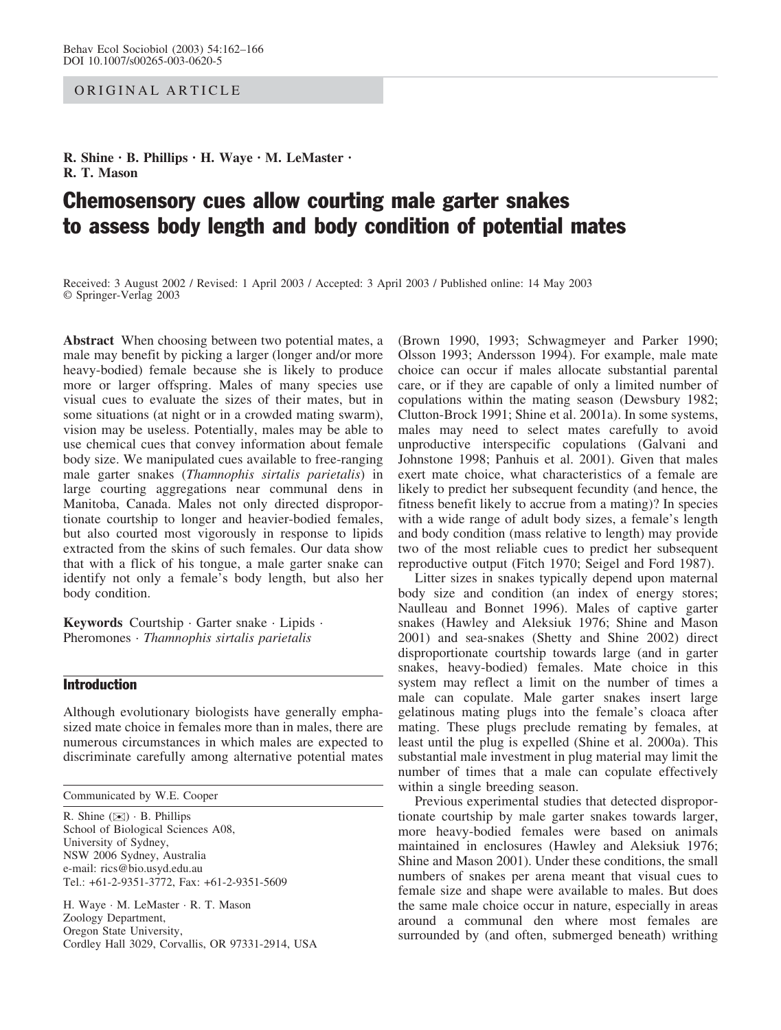# ORIGINAL ARTICLE

R. Shine · B. Phillips · H. Waye · M. LeMaster · R. T. Mason

# Chemosensory cues allow courting male garter snakes to assess body length and body condition of potential mates

Received: 3 August 2002 / Revised: 1 April 2003 / Accepted: 3 April 2003 / Published online: 14 May 2003 Springer-Verlag 2003

Abstract When choosing between two potential mates, a male may benefit by picking a larger (longer and/or more heavy-bodied) female because she is likely to produce more or larger offspring. Males of many species use visual cues to evaluate the sizes of their mates, but in some situations (at night or in a crowded mating swarm), vision may be useless. Potentially, males may be able to use chemical cues that convey information about female body size. We manipulated cues available to free-ranging male garter snakes (Thamnophis sirtalis parietalis) in large courting aggregations near communal dens in Manitoba, Canada. Males not only directed disproportionate courtship to longer and heavier-bodied females, but also courted most vigorously in response to lipids extracted from the skins of such females. Our data show that with a flick of his tongue, a male garter snake can identify not only a female's body length, but also her body condition.

Keywords Courtship · Garter snake · Lipids · Pheromones · Thamnophis sirtalis parietalis

## Introduction

Although evolutionary biologists have generally emphasized mate choice in females more than in males, there are numerous circumstances in which males are expected to discriminate carefully among alternative potential mates

Communicated by W.E. Cooper

R. Shine  $(\mathbb{R}) \cdot B$ . Phillips School of Biological Sciences A08, University of Sydney, NSW 2006 Sydney, Australia e-mail: rics@bio.usyd.edu.au Tel.: +61-2-9351-3772, Fax: +61-2-9351-5609

H. Waye · M. LeMaster · R. T. Mason Zoology Department, Oregon State University, Cordley Hall 3029, Corvallis, OR 97331-2914, USA (Brown 1990, 1993; Schwagmeyer and Parker 1990; Olsson 1993; Andersson 1994). For example, male mate choice can occur if males allocate substantial parental care, or if they are capable of only a limited number of copulations within the mating season (Dewsbury 1982; Clutton-Brock 1991; Shine et al. 2001a). In some systems, males may need to select mates carefully to avoid unproductive interspecific copulations (Galvani and Johnstone 1998; Panhuis et al. 2001). Given that males exert mate choice, what characteristics of a female are likely to predict her subsequent fecundity (and hence, the fitness benefit likely to accrue from a mating)? In species with a wide range of adult body sizes, a female's length and body condition (mass relative to length) may provide two of the most reliable cues to predict her subsequent reproductive output (Fitch 1970; Seigel and Ford 1987).

Litter sizes in snakes typically depend upon maternal body size and condition (an index of energy stores; Naulleau and Bonnet 1996). Males of captive garter snakes (Hawley and Aleksiuk 1976; Shine and Mason 2001) and sea-snakes (Shetty and Shine 2002) direct disproportionate courtship towards large (and in garter snakes, heavy-bodied) females. Mate choice in this system may reflect a limit on the number of times a male can copulate. Male garter snakes insert large gelatinous mating plugs into the female's cloaca after mating. These plugs preclude remating by females, at least until the plug is expelled (Shine et al. 2000a). This substantial male investment in plug material may limit the number of times that a male can copulate effectively within a single breeding season.

Previous experimental studies that detected disproportionate courtship by male garter snakes towards larger, more heavy-bodied females were based on animals maintained in enclosures (Hawley and Aleksiuk 1976; Shine and Mason 2001). Under these conditions, the small numbers of snakes per arena meant that visual cues to female size and shape were available to males. But does the same male choice occur in nature, especially in areas around a communal den where most females are surrounded by (and often, submerged beneath) writhing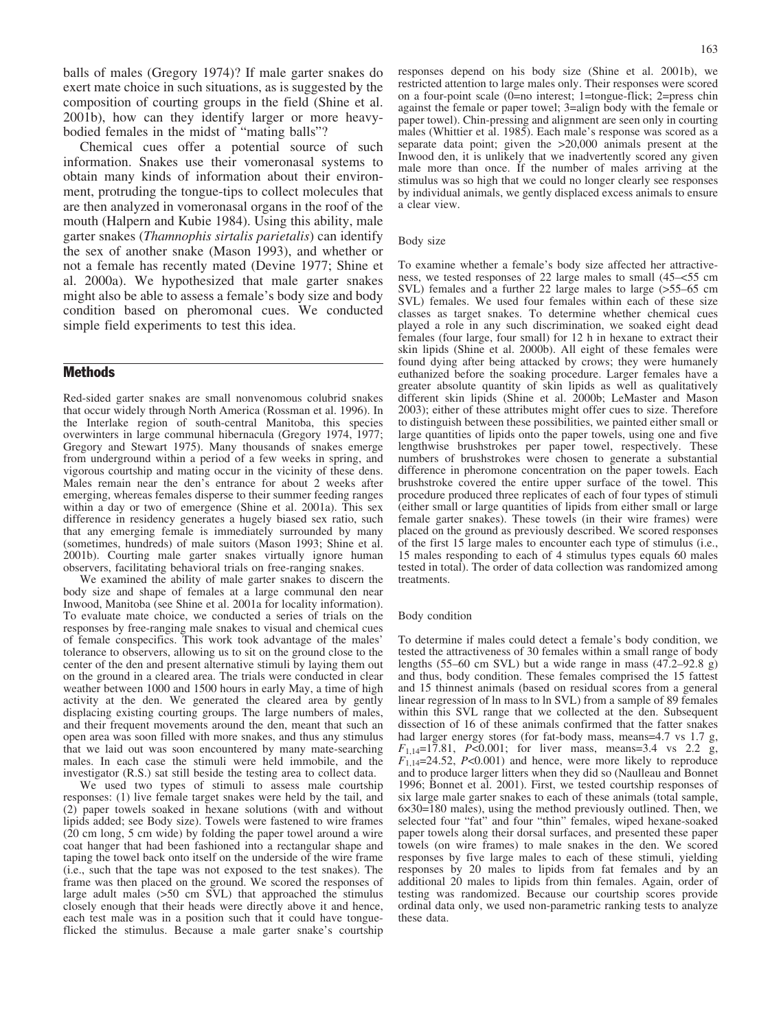balls of males (Gregory 1974)? If male garter snakes do exert mate choice in such situations, as is suggested by the composition of courting groups in the field (Shine et al. 2001b), how can they identify larger or more heavybodied females in the midst of "mating balls"?

Chemical cues offer a potential source of such information. Snakes use their vomeronasal systems to obtain many kinds of information about their environment, protruding the tongue-tips to collect molecules that are then analyzed in vomeronasal organs in the roof of the mouth (Halpern and Kubie 1984). Using this ability, male garter snakes (Thamnophis sirtalis parietalis) can identify the sex of another snake (Mason 1993), and whether or not a female has recently mated (Devine 1977; Shine et al. 2000a). We hypothesized that male garter snakes might also be able to assess a female's body size and body condition based on pheromonal cues. We conducted simple field experiments to test this idea.

# Methods

Red-sided garter snakes are small nonvenomous colubrid snakes that occur widely through North America (Rossman et al. 1996). In the Interlake region of south-central Manitoba, this species overwinters in large communal hibernacula (Gregory 1974, 1977; Gregory and Stewart 1975). Many thousands of snakes emerge from underground within a period of a few weeks in spring, and vigorous courtship and mating occur in the vicinity of these dens. Males remain near the den's entrance for about 2 weeks after emerging, whereas females disperse to their summer feeding ranges within a day or two of emergence (Shine et al. 2001a). This sex difference in residency generates a hugely biased sex ratio, such that any emerging female is immediately surrounded by many (sometimes, hundreds) of male suitors (Mason 1993; Shine et al. 2001b). Courting male garter snakes virtually ignore human observers, facilitating behavioral trials on free-ranging snakes.

We examined the ability of male garter snakes to discern the body size and shape of females at a large communal den near Inwood, Manitoba (see Shine et al. 2001a for locality information). To evaluate mate choice, we conducted a series of trials on the responses by free-ranging male snakes to visual and chemical cues of female conspecifics. This work took advantage of the males' tolerance to observers, allowing us to sit on the ground close to the center of the den and present alternative stimuli by laying them out on the ground in a cleared area. The trials were conducted in clear weather between 1000 and 1500 hours in early May, a time of high activity at the den. We generated the cleared area by gently displacing existing courting groups. The large numbers of males, and their frequent movements around the den, meant that such an open area was soon filled with more snakes, and thus any stimulus that we laid out was soon encountered by many mate-searching males. In each case the stimuli were held immobile, and the investigator (R.S.) sat still beside the testing area to collect data.

We used two types of stimuli to assess male courtship responses: (1) live female target snakes were held by the tail, and (2) paper towels soaked in hexane solutions (with and without lipids added; see Body size). Towels were fastened to wire frames (20 cm long, 5 cm wide) by folding the paper towel around a wire coat hanger that had been fashioned into a rectangular shape and taping the towel back onto itself on the underside of the wire frame (i.e., such that the tape was not exposed to the test snakes). The frame was then placed on the ground. We scored the responses of large adult males (>50 cm SVL) that approached the stimulus closely enough that their heads were directly above it and hence, each test male was in a position such that it could have tongueflicked the stimulus. Because a male garter snake's courtship responses depend on his body size (Shine et al. 2001b), we restricted attention to large males only. Their responses were scored on a four-point scale (0=no interest; 1=tongue-flick; 2=press chin against the female or paper towel; 3=align body with the female or paper towel). Chin-pressing and alignment are seen only in courting males (Whittier et al. 1985). Each male's response was scored as a separate data point; given the >20,000 animals present at the Inwood den, it is unlikely that we inadvertently scored any given male more than once. If the number of males arriving at the stimulus was so high that we could no longer clearly see responses by individual animals, we gently displaced excess animals to ensure a clear view.

## Body size

To examine whether a female's body size affected her attractiveness, we tested responses of 22 large males to small (45–<55 cm SVL) females and a further 22 large males to large (>55–65 cm SVL) females. We used four females within each of these size classes as target snakes. To determine whether chemical cues played a role in any such discrimination, we soaked eight dead females (four large, four small) for 12 h in hexane to extract their skin lipids (Shine et al. 2000b). All eight of these females were found dying after being attacked by crows; they were humanely euthanized before the soaking procedure. Larger females have a greater absolute quantity of skin lipids as well as qualitatively different skin lipids (Shine et al. 2000b; LeMaster and Mason 2003); either of these attributes might offer cues to size. Therefore to distinguish between these possibilities, we painted either small or large quantities of lipids onto the paper towels, using one and five lengthwise brushstrokes per paper towel, respectively. These numbers of brushstrokes were chosen to generate a substantial difference in pheromone concentration on the paper towels. Each brushstroke covered the entire upper surface of the towel. This procedure produced three replicates of each of four types of stimuli (either small or large quantities of lipids from either small or large female garter snakes). These towels (in their wire frames) were placed on the ground as previously described. We scored responses of the first 15 large males to encounter each type of stimulus (i.e., 15 males responding to each of 4 stimulus types equals 60 males tested in total). The order of data collection was randomized among treatments.

#### Body condition

To determine if males could detect a female's body condition, we tested the attractiveness of 30 females within a small range of body lengths (55–60 cm SVL) but a wide range in mass (47.2–92.8 g) and thus, body condition. These females comprised the 15 fattest and 15 thinnest animals (based on residual scores from a general linear regression of ln mass to ln SVL) from a sample of 89 females within this SVL range that we collected at the den. Subsequent dissection of 16 of these animals confirmed that the fatter snakes had larger energy stores (for fat-body mass, means=4.7 vs 1.7 g,  $F_{1,14}=17.81$ ,  $P<0.001$ ; for liver mass, means=3.4 vs 2.2 g,  $F_{1,14}=24.52, P<0.001)$  and hence, were more likely to reproduce and to produce larger litters when they did so (Naulleau and Bonnet 1996; Bonnet et al. 2001). First, we tested courtship responses of six large male garter snakes to each of these animals (total sample, 6×30=180 males), using the method previously outlined. Then, we selected four "fat" and four "thin" females, wiped hexane-soaked paper towels along their dorsal surfaces, and presented these paper towels (on wire frames) to male snakes in the den. We scored responses by five large males to each of these stimuli, yielding responses by 20 males to lipids from fat females and by an additional 20 males to lipids from thin females. Again, order of testing was randomized. Because our courtship scores provide ordinal data only, we used non-parametric ranking tests to analyze these data.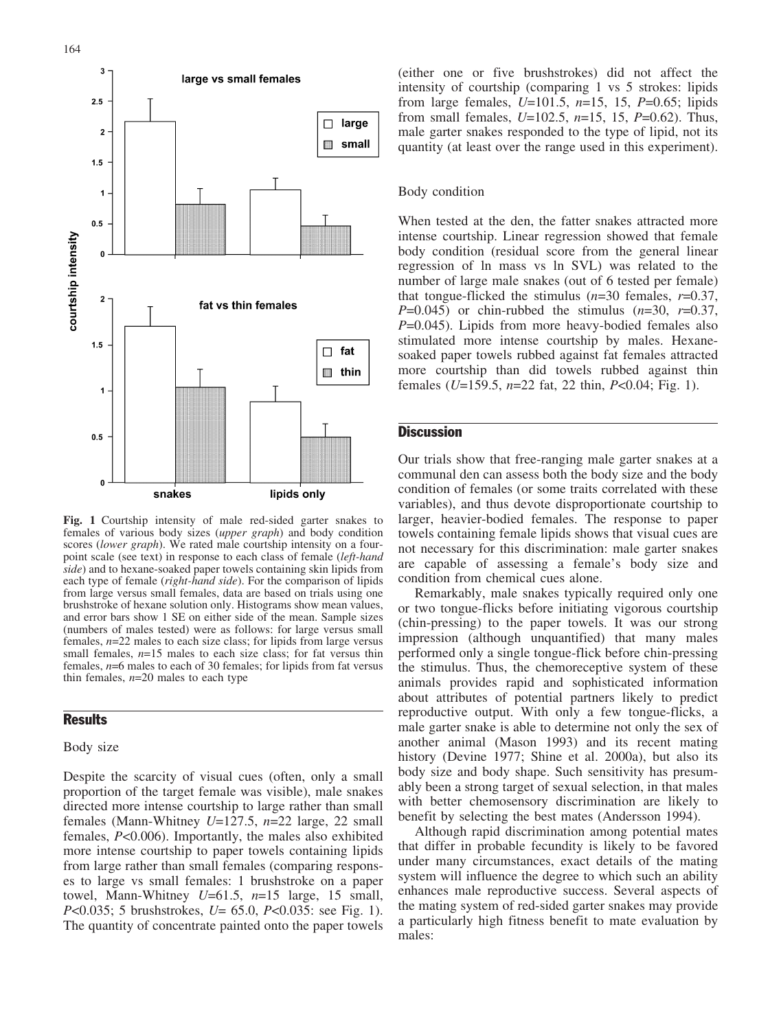

Fig. 1 Courtship intensity of male red-sided garter snakes to females of various body sizes (upper graph) and body condition scores (lower graph). We rated male courtship intensity on a fourpoint scale (see text) in response to each class of female (left-hand side) and to hexane-soaked paper towels containing skin lipids from each type of female (*right-hand side*). For the comparison of lipids from large versus small females, data are based on trials using one brushstroke of hexane solution only. Histograms show mean values, and error bars show 1 SE on either side of the mean. Sample sizes (numbers of males tested) were as follows: for large versus small females,  $n=22$  males to each size class; for lipids from large versus small females,  $n=15$  males to each size class; for fat versus thin females,  $n=6$  males to each of 30 females; for lipids from fat versus thin females,  $n=20$  males to each type

# **Results**

#### Body size

Despite the scarcity of visual cues (often, only a small proportion of the target female was visible), male snakes directed more intense courtship to large rather than small females (Mann-Whitney  $U=127.5$ ,  $n=22$  large, 22 small females, P<0.006). Importantly, the males also exhibited more intense courtship to paper towels containing lipids from large rather than small females (comparing responses to large vs small females: 1 brushstroke on a paper towel, Mann-Whitney  $U=61.5$ ,  $n=15$  large, 15 small, *P*<0.035; 5 brushstrokes,  $U=$  65.0, *P*<0.035: see Fig. 1). The quantity of concentrate painted onto the paper towels

(either one or five brushstrokes) did not affect the intensity of courtship (comparing 1 vs 5 strokes: lipids from large females,  $U=101.5$ ,  $n=15$ , 15,  $P=0.65$ ; lipids from small females,  $U=102.5$ ,  $n=15$ , 15,  $P=0.62$ ). Thus, male garter snakes responded to the type of lipid, not its quantity (at least over the range used in this experiment).

## Body condition

When tested at the den, the fatter snakes attracted more intense courtship. Linear regression showed that female body condition (residual score from the general linear regression of ln mass vs ln SVL) was related to the number of large male snakes (out of 6 tested per female) that tongue-flicked the stimulus ( $n=30$  females,  $r=0.37$ ,  $P=0.045$ ) or chin-rubbed the stimulus ( $n=30$ ,  $r=0.37$ ,  $P=0.045$ ). Lipids from more heavy-bodied females also stimulated more intense courtship by males. Hexanesoaked paper towels rubbed against fat females attracted more courtship than did towels rubbed against thin females ( $U=159.5$ ,  $n=22$  fat, 22 thin,  $P<0.04$ ; Fig. 1).

# **Discussion**

Our trials show that free-ranging male garter snakes at a communal den can assess both the body size and the body condition of females (or some traits correlated with these variables), and thus devote disproportionate courtship to larger, heavier-bodied females. The response to paper towels containing female lipids shows that visual cues are not necessary for this discrimination: male garter snakes are capable of assessing a female's body size and condition from chemical cues alone.

Remarkably, male snakes typically required only one or two tongue-flicks before initiating vigorous courtship (chin-pressing) to the paper towels. It was our strong impression (although unquantified) that many males performed only a single tongue-flick before chin-pressing the stimulus. Thus, the chemoreceptive system of these animals provides rapid and sophisticated information about attributes of potential partners likely to predict reproductive output. With only a few tongue-flicks, a male garter snake is able to determine not only the sex of another animal (Mason 1993) and its recent mating history (Devine 1977; Shine et al. 2000a), but also its body size and body shape. Such sensitivity has presumably been a strong target of sexual selection, in that males with better chemosensory discrimination are likely to benefit by selecting the best mates (Andersson 1994).

Although rapid discrimination among potential mates that differ in probable fecundity is likely to be favored under many circumstances, exact details of the mating system will influence the degree to which such an ability enhances male reproductive success. Several aspects of the mating system of red-sided garter snakes may provide a particularly high fitness benefit to mate evaluation by males: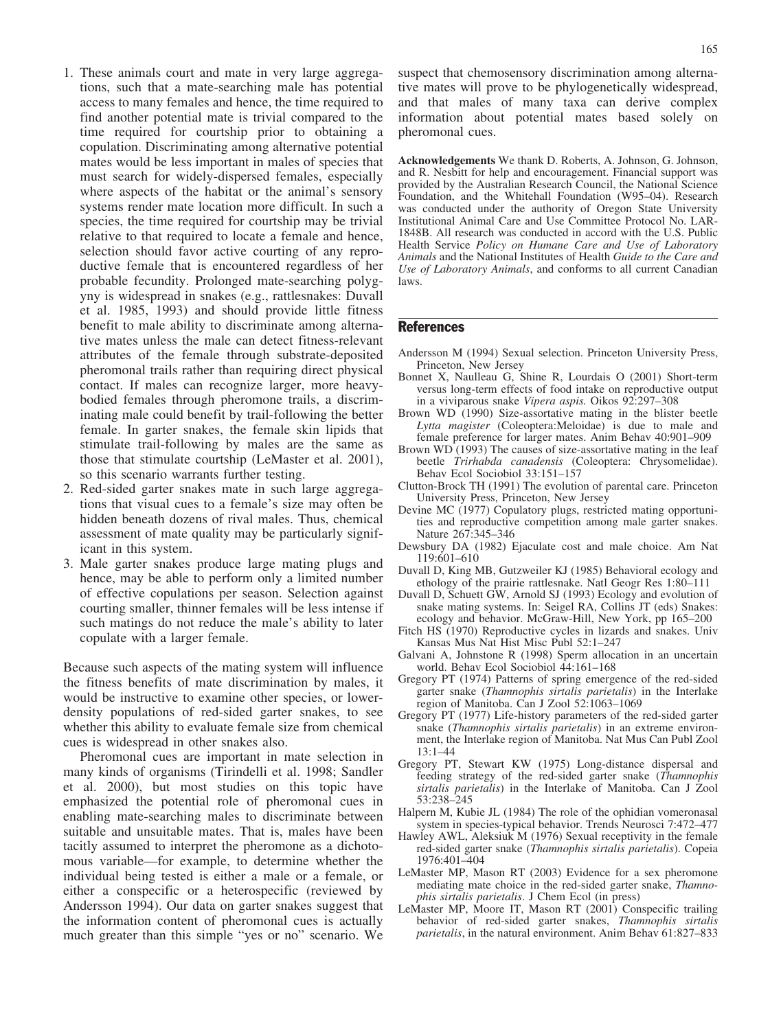- 1. These animals court and mate in very large aggregations, such that a mate-searching male has potential access to many females and hence, the time required to find another potential mate is trivial compared to the time required for courtship prior to obtaining a copulation. Discriminating among alternative potential mates would be less important in males of species that must search for widely-dispersed females, especially where aspects of the habitat or the animal's sensory systems render mate location more difficult. In such a species, the time required for courtship may be trivial relative to that required to locate a female and hence, selection should favor active courting of any reproductive female that is encountered regardless of her probable fecundity. Prolonged mate-searching polygyny is widespread in snakes (e.g., rattlesnakes: Duvall et al. 1985, 1993) and should provide little fitness benefit to male ability to discriminate among alternative mates unless the male can detect fitness-relevant attributes of the female through substrate-deposited pheromonal trails rather than requiring direct physical contact. If males can recognize larger, more heavybodied females through pheromone trails, a discriminating male could benefit by trail-following the better female. In garter snakes, the female skin lipids that stimulate trail-following by males are the same as those that stimulate courtship (LeMaster et al. 2001), so this scenario warrants further testing.
- 2. Red-sided garter snakes mate in such large aggregations that visual cues to a female's size may often be hidden beneath dozens of rival males. Thus, chemical assessment of mate quality may be particularly significant in this system.
- 3. Male garter snakes produce large mating plugs and hence, may be able to perform only a limited number of effective copulations per season. Selection against courting smaller, thinner females will be less intense if such matings do not reduce the male's ability to later copulate with a larger female.

Because such aspects of the mating system will influence the fitness benefits of mate discrimination by males, it would be instructive to examine other species, or lowerdensity populations of red-sided garter snakes, to see whether this ability to evaluate female size from chemical cues is widespread in other snakes also.

Pheromonal cues are important in mate selection in many kinds of organisms (Tirindelli et al. 1998; Sandler et al. 2000), but most studies on this topic have emphasized the potential role of pheromonal cues in enabling mate-searching males to discriminate between suitable and unsuitable mates. That is, males have been tacitly assumed to interpret the pheromone as a dichotomous variable—for example, to determine whether the individual being tested is either a male or a female, or either a conspecific or a heterospecific (reviewed by Andersson 1994). Our data on garter snakes suggest that the information content of pheromonal cues is actually much greater than this simple "yes or no" scenario. We

suspect that chemosensory discrimination among alternative mates will prove to be phylogenetically widespread, and that males of many taxa can derive complex information about potential mates based solely on pheromonal cues.

Acknowledgements We thank D. Roberts, A. Johnson, G. Johnson, and R. Nesbitt for help and encouragement. Financial support was provided by the Australian Research Council, the National Science Foundation, and the Whitehall Foundation (W95–04). Research was conducted under the authority of Oregon State University Institutional Animal Care and Use Committee Protocol No. LAR-1848B. All research was conducted in accord with the U.S. Public Health Service Policy on Humane Care and Use of Laboratory Animals and the National Institutes of Health Guide to the Care and Use of Laboratory Animals, and conforms to all current Canadian laws.

#### References

- Andersson M (1994) Sexual selection. Princeton University Press, Princeton, New Jersey
- Bonnet X, Naulleau G, Shine R, Lourdais O (2001) Short-term versus long-term effects of food intake on reproductive output in a viviparous snake Vipera aspis. Oikos 92:297–308
- Brown WD (1990) Size-assortative mating in the blister beetle Lytta magister (Coleoptera:Meloidae) is due to male and female preference for larger mates. Anim Behav 40:901–909
- Brown WD (1993) The causes of size-assortative mating in the leaf beetle Trirhabda canadensis (Coleoptera: Chrysomelidae). Behav Ecol Sociobiol 33:151–157
- Clutton-Brock TH (1991) The evolution of parental care. Princeton University Press, Princeton, New Jersey
- Devine MC (1977) Copulatory plugs, restricted mating opportunities and reproductive competition among male garter snakes. Nature 267:345–346
- Dewsbury DA (1982) Ejaculate cost and male choice. Am Nat 119:601–610
- Duvall D, King MB, Gutzweiler KJ (1985) Behavioral ecology and ethology of the prairie rattlesnake. Natl Geogr Res 1:80–111
- Duvall D, Schuett GW, Arnold SJ (1993) Ecology and evolution of snake mating systems. In: Seigel RA, Collins JT (eds) Snakes: ecology and behavior. McGraw-Hill, New York, pp 165–200
- Fitch HS (1970) Reproductive cycles in lizards and snakes. Univ Kansas Mus Nat Hist Misc Publ 52:1–247
- Galvani A, Johnstone R (1998) Sperm allocation in an uncertain world. Behav Ecol Sociobiol 44:161–168
- Gregory PT (1974) Patterns of spring emergence of the red-sided garter snake (Thamnophis sirtalis parietalis) in the Interlake region of Manitoba. Can J Zool 52:1063–1069
- Gregory PT (1977) Life-history parameters of the red-sided garter snake (Thamnophis sirtalis parietalis) in an extreme environment, the Interlake region of Manitoba. Nat Mus Can Publ Zool 13:1–44
- Gregory PT, Stewart KW (1975) Long-distance dispersal and feeding strategy of the red-sided garter snake (Thamnophis sirtalis parietalis) in the Interlake of Manitoba. Can J Zool 53:238–245
- Halpern M, Kubie JL (1984) The role of the ophidian vomeronasal system in species-typical behavior. Trends Neurosci 7:472–477
- Hawley AWL, Aleksiuk M (1976) Sexual receptivity in the female red-sided garter snake (Thamnophis sirtalis parietalis). Copeia 1976:401–404
- LeMaster MP, Mason RT (2003) Evidence for a sex pheromone mediating mate choice in the red-sided garter snake, Thamnophis sirtalis parietalis. J Chem Ecol (in press)
- LeMaster MP, Moore IT, Mason RT (2001) Conspecific trailing behavior of red-sided garter snakes, Thamnophis sirtalis parietalis, in the natural environment. Anim Behav 61:827–833